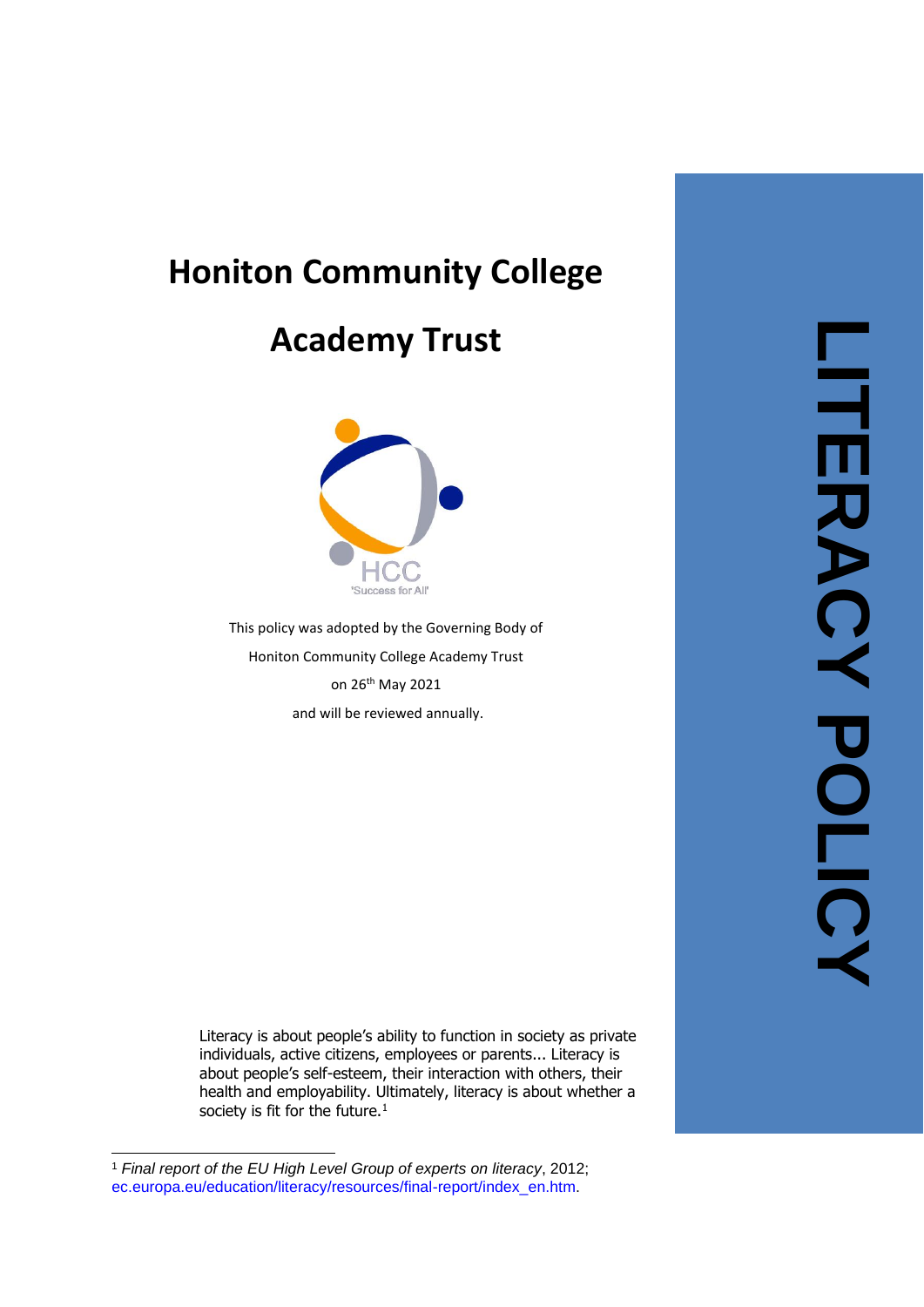# **Honiton Community College**

## **Academy Trust**



This policy was adopted by the Governing Body of Honiton Community College Academy Trust on 26<sup>th</sup> May 2021 and will be reviewed annually.

Literacy is about people's ability to function in society as private individuals, active citizens, employees or parents... Literacy is about people's self -esteem, their interaction with others, their health and employability. Ultimately, literacy is about whether a society is fit for the future. $<sup>1</sup>$ </sup>

<sup>1</sup> *Final report of the EU High Level Group of experts on literacy*, 2012; [ec.europa.eu/education/literacy/resources/final](http://ec.europa.eu/education/literacy/resources/final-report/index_en.htm)-report/index\_en.htm.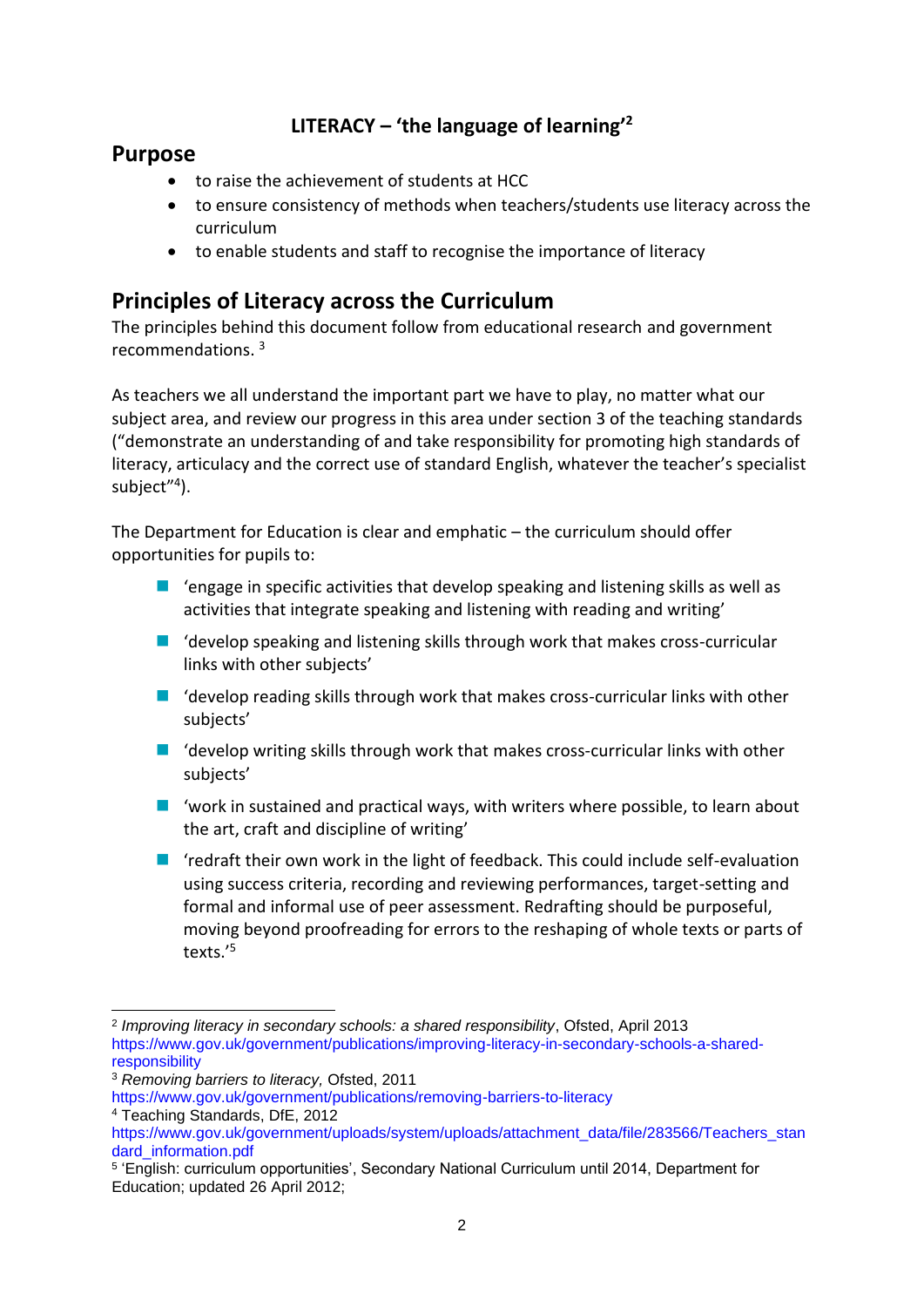## **LITERACY – 'the language of learning'<sup>2</sup>**

### **Purpose**

- to raise the achievement of students at HCC
- to ensure consistency of methods when teachers/students use literacy across the curriculum
- to enable students and staff to recognise the importance of literacy

## **Principles of Literacy across the Curriculum**

The principles behind this document follow from educational research and government recommendations. <sup>3</sup>

As teachers we all understand the important part we have to play, no matter what our subject area, and review our progress in this area under section 3 of the teaching standards ("demonstrate an understanding of and take responsibility for promoting high standards of literacy, articulacy and the correct use of standard English, whatever the teacher's specialist subject"<sup>4</sup>).

The Department for Education is clear and emphatic – the curriculum should offer opportunities for pupils to:

- $\blacksquare$  'engage in specific activities that develop speaking and listening skills as well as activities that integrate speaking and listening with reading and writing'
- $\blacksquare$  'develop speaking and listening skills through work that makes cross-curricular links with other subjects'
- $\blacksquare$  'develop reading skills through work that makes cross-curricular links with other subjects'
- 'develop writing skills through work that makes cross-curricular links with other subjects'
- 'work in sustained and practical ways, with writers where possible, to learn about the art, craft and discipline of writing'
- 'redraft their own work in the light of feedback. This could include self-evaluation using success criteria, recording and reviewing performances, target-setting and formal and informal use of peer assessment. Redrafting should be purposeful, moving beyond proofreading for errors to the reshaping of whole texts or parts of texts.'<sup>5</sup>

<sup>2</sup> *Improving literacy in secondary schools: a shared responsibility*, Ofsted, April 2013 [https://www.gov.uk/government/publications/improving-literacy-in-secondary-schools-a-shared](https://www.gov.uk/government/publications/improving-literacy-in-secondary-schools-a-shared-responsibility)[responsibility](https://www.gov.uk/government/publications/improving-literacy-in-secondary-schools-a-shared-responsibility)

<sup>3</sup> *Removing barriers to literacy,* Ofsted, 2011

<https://www.gov.uk/government/publications/removing-barriers-to-literacy> <sup>4</sup> Teaching Standards, DfE, 2012

[https://www.gov.uk/government/uploads/system/uploads/attachment\\_data/file/283566/Teachers\\_stan](https://www.gov.uk/government/uploads/system/uploads/attachment_data/file/283566/Teachers_standard_information.pdf) [dard\\_information.pdf](https://www.gov.uk/government/uploads/system/uploads/attachment_data/file/283566/Teachers_standard_information.pdf)

<sup>5</sup> 'English: curriculum opportunities', Secondary National Curriculum until 2014, Department for Education; updated 26 April 2012;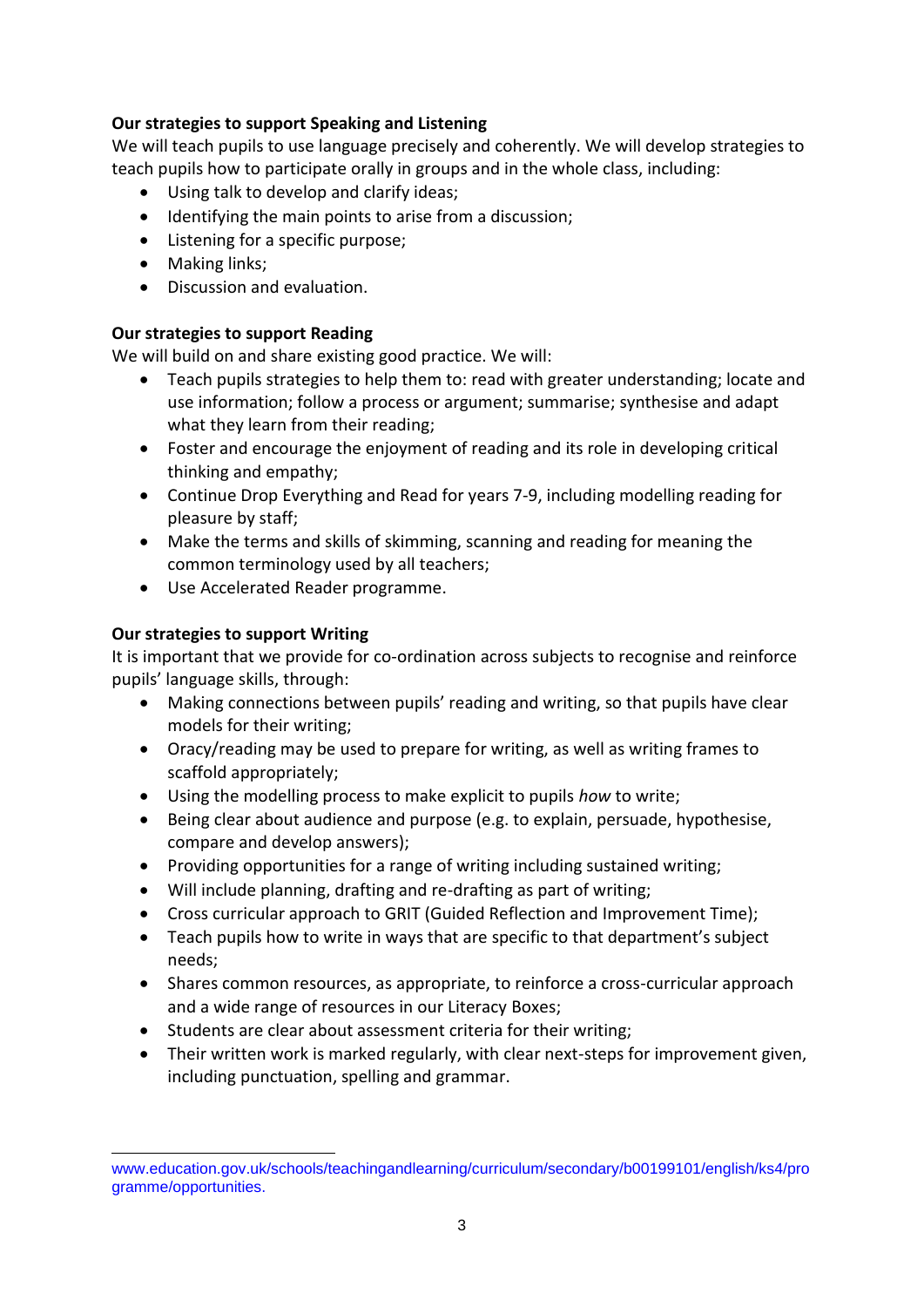#### **Our strategies to support Speaking and Listening**

We will teach pupils to use language precisely and coherently. We will develop strategies to teach pupils how to participate orally in groups and in the whole class, including:

- Using talk to develop and clarify ideas;
- Identifying the main points to arise from a discussion;
- Listening for a specific purpose;
- Making links;
- Discussion and evaluation.

#### **Our strategies to support Reading**

We will build on and share existing good practice. We will:

- Teach pupils strategies to help them to: read with greater understanding; locate and use information; follow a process or argument; summarise; synthesise and adapt what they learn from their reading;
- Foster and encourage the enjoyment of reading and its role in developing critical thinking and empathy;
- Continue Drop Everything and Read for years 7-9, including modelling reading for pleasure by staff;
- Make the terms and skills of skimming, scanning and reading for meaning the common terminology used by all teachers;
- Use Accelerated Reader programme.

#### **Our strategies to support Writing**

It is important that we provide for co-ordination across subjects to recognise and reinforce pupils' language skills, through:

- Making connections between pupils' reading and writing, so that pupils have clear models for their writing;
- Oracy/reading may be used to prepare for writing, as well as writing frames to scaffold appropriately;
- Using the modelling process to make explicit to pupils *how* to write;
- Being clear about audience and purpose (e.g. to explain, persuade, hypothesise, compare and develop answers);
- Providing opportunities for a range of writing including sustained writing;
- Will include planning, drafting and re-drafting as part of writing;
- Cross curricular approach to GRIT (Guided Reflection and Improvement Time);
- Teach pupils how to write in ways that are specific to that department's subject needs;
- Shares common resources, as appropriate, to reinforce a cross-curricular approach and a wide range of resources in our Literacy Boxes;
- Students are clear about assessment criteria for their writing;
- Their written work is marked regularly, with clear next-steps for improvement given, including punctuation, spelling and grammar.

[www.education.gov.uk/schools/teachingandlearning/curriculum/secondary/b00199101/english/ks4/pro](http://www.education.gov.uk/schools/teachingandlearning/curriculum/secondary/b00199101/english/ks4/programme/opportunities) [gramme/opportunities.](http://www.education.gov.uk/schools/teachingandlearning/curriculum/secondary/b00199101/english/ks4/programme/opportunities)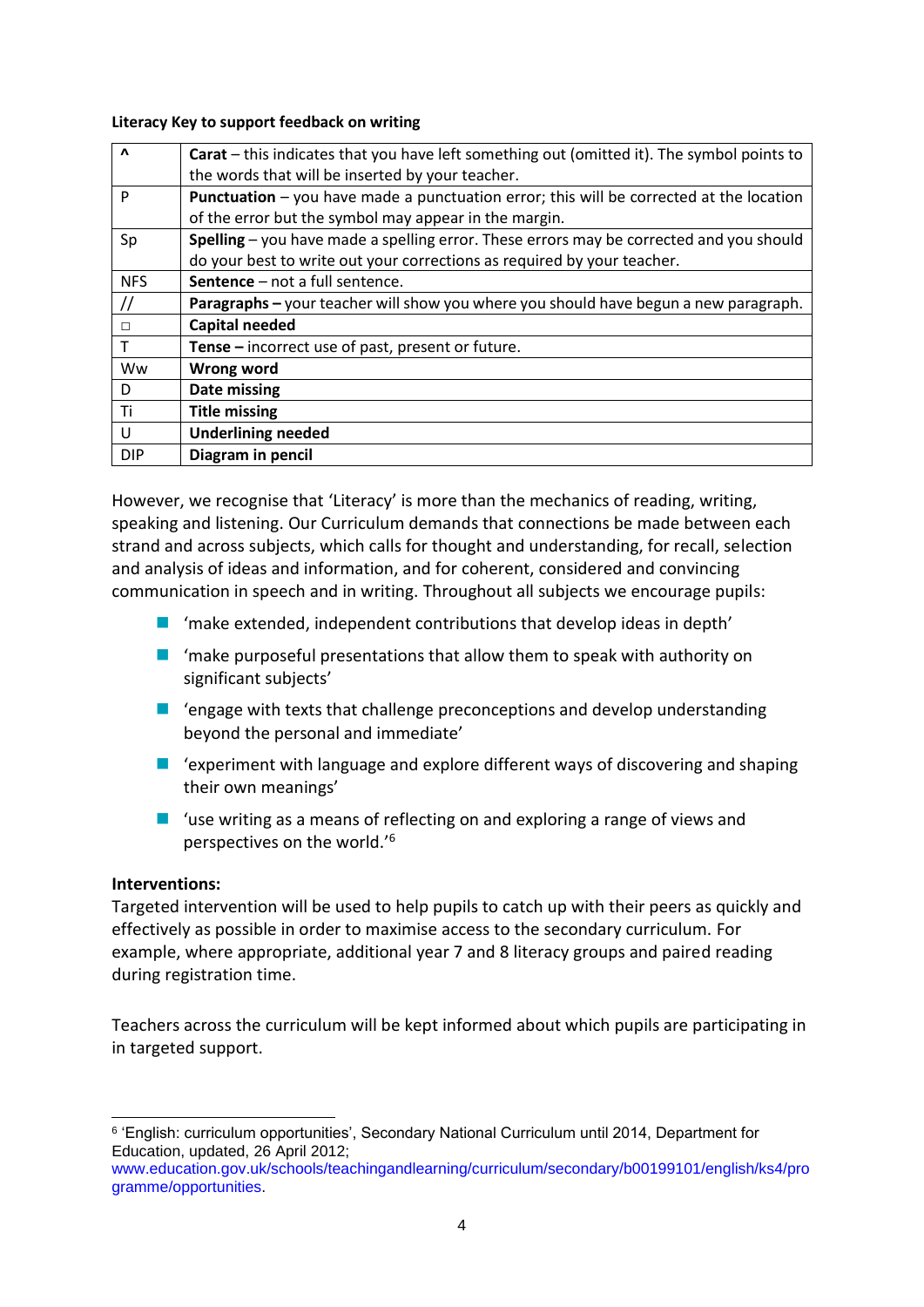**Literacy Key to support feedback on writing**

| $\Lambda$         | <b>Carat</b> – this indicates that you have left something out (omitted it). The symbol points to |
|-------------------|---------------------------------------------------------------------------------------------------|
|                   | the words that will be inserted by your teacher.                                                  |
| P                 | <b>Punctuation</b> – you have made a punctuation error; this will be corrected at the location    |
|                   | of the error but the symbol may appear in the margin.                                             |
| Sp                | Spelling – you have made a spelling error. These errors may be corrected and you should           |
|                   | do your best to write out your corrections as required by your teacher.                           |
| <b>NFS</b>        | Sentence - not a full sentence.                                                                   |
| $^{\prime\prime}$ | Paragraphs - your teacher will show you where you should have begun a new paragraph.              |
| П                 | <b>Capital needed</b>                                                                             |
|                   | <b>Tense</b> – incorrect use of past, present or future.                                          |
| Ww                | Wrong word                                                                                        |
| D                 | Date missing                                                                                      |
| Ti                | <b>Title missing</b>                                                                              |
| U                 | <b>Underlining needed</b>                                                                         |
| <b>DIP</b>        | Diagram in pencil                                                                                 |

However, we recognise that 'Literacy' is more than the mechanics of reading, writing, speaking and listening. Our Curriculum demands that connections be made between each strand and across subjects, which calls for thought and understanding, for recall, selection and analysis of ideas and information, and for coherent, considered and convincing communication in speech and in writing. Throughout all subjects we encourage pupils:

- 'make extended, independent contributions that develop ideas in depth'
- $\blacksquare$  'make purposeful presentations that allow them to speak with authority on significant subjects'
- 'engage with texts that challenge preconceptions and develop understanding beyond the personal and immediate'
- 'experiment with language and explore different ways of discovering and shaping their own meanings'
- 'use writing as a means of reflecting on and exploring a range of views and perspectives on the world.'<sup>6</sup>

#### **Interventions:**

Targeted intervention will be used to help pupils to catch up with their peers as quickly and effectively as possible in order to maximise access to the secondary curriculum. For example, where appropriate, additional year 7 and 8 literacy groups and paired reading during registration time.

Teachers across the curriculum will be kept informed about which pupils are participating in in targeted support.

<sup>6</sup> 'English: curriculum opportunities', Secondary National Curriculum until 2014, Department for Education, updated, 26 April 2012;

[www.education.gov.uk/schools/teachingandlearning/curriculum/secondary/b00199101/english/ks4/pro](http://www.education.gov.uk/schools/teachingandlearning/curriculum/secondary/b00199101/english/ks4/programme/opportunities) [gramme/opportunities.](http://www.education.gov.uk/schools/teachingandlearning/curriculum/secondary/b00199101/english/ks4/programme/opportunities)